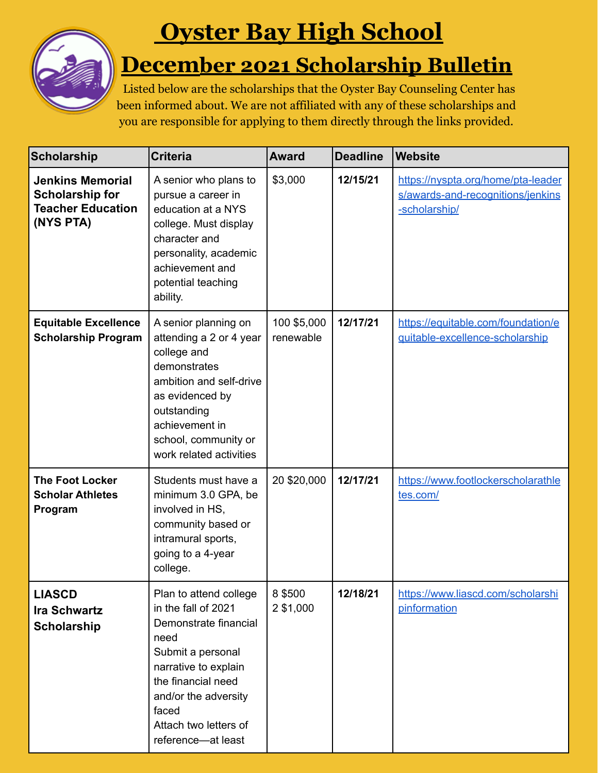

## **Oyster Bay High School**

## **December 2021 Scholarship Bulletin**

Listed below are the scholarships that the Oyster Bay Counseling Center has been informed about. We are not affiliated with any of these scholarships and you are responsible for applying to them directly through the links provided.

| <b>Scholarship</b>                                                                         | <b>Criteria</b>                                                                                                                                                                                                                   | <b>Award</b>             | <b>Deadline</b> | <b>Website</b>                                                                           |
|--------------------------------------------------------------------------------------------|-----------------------------------------------------------------------------------------------------------------------------------------------------------------------------------------------------------------------------------|--------------------------|-----------------|------------------------------------------------------------------------------------------|
| <b>Jenkins Memorial</b><br><b>Scholarship for</b><br><b>Teacher Education</b><br>(NYS PTA) | A senior who plans to<br>pursue a career in<br>education at a NYS<br>college. Must display<br>character and<br>personality, academic<br>achievement and<br>potential teaching<br>ability.                                         | \$3,000                  | 12/15/21        | https://nyspta.org/home/pta-leader<br>s/awards-and-recognitions/jenkins<br>-scholarship/ |
| <b>Equitable Excellence</b><br><b>Scholarship Program</b>                                  | A senior planning on<br>attending a 2 or 4 year<br>college and<br>demonstrates<br>ambition and self-drive<br>as evidenced by<br>outstanding<br>achievement in<br>school, community or<br>work related activities                  | 100 \$5,000<br>renewable | 12/17/21        | https://equitable.com/foundation/e<br>quitable-excellence-scholarship                    |
| <b>The Foot Locker</b><br><b>Scholar Athletes</b><br>Program                               | Students must have a<br>minimum 3.0 GPA, be<br>involved in HS,<br>community based or<br>intramural sports,<br>going to a 4-year<br>college.                                                                                       | 20 \$20,000              | 12/17/21        | https://www.footlockerscholarathle<br>tes.com/                                           |
| <b>LIASCD</b><br><b>Ira Schwartz</b><br><b>Scholarship</b>                                 | Plan to attend college<br>in the fall of 2021<br>Demonstrate financial<br>need<br>Submit a personal<br>narrative to explain<br>the financial need<br>and/or the adversity<br>faced<br>Attach two letters of<br>reference-at least | 8 \$500<br>2 \$1,000     | 12/18/21        | https://www.liascd.com/scholarshi<br>pinformation                                        |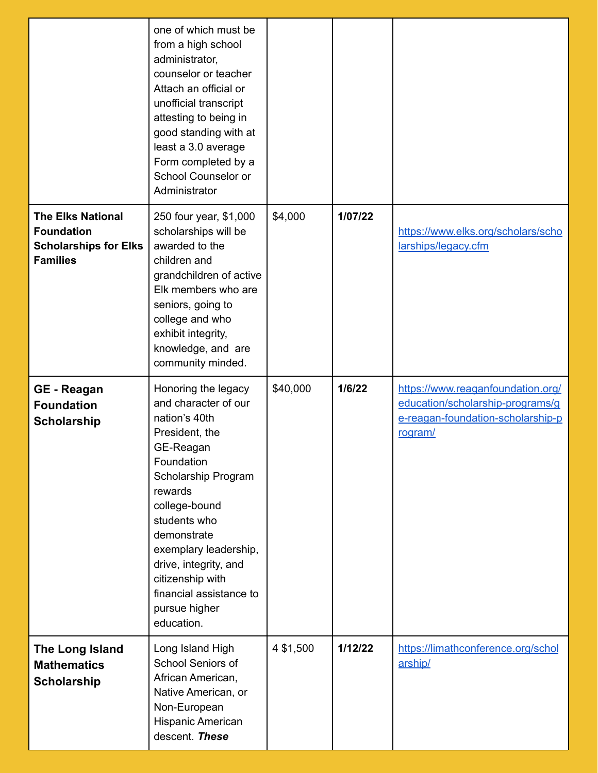|                                                                                                  | one of which must be<br>from a high school<br>administrator,<br>counselor or teacher<br>Attach an official or<br>unofficial transcript<br>attesting to being in<br>good standing with at<br>least a 3.0 average<br>Form completed by a<br>School Counselor or<br>Administrator                                              |           |         |                                                                                                                       |
|--------------------------------------------------------------------------------------------------|-----------------------------------------------------------------------------------------------------------------------------------------------------------------------------------------------------------------------------------------------------------------------------------------------------------------------------|-----------|---------|-----------------------------------------------------------------------------------------------------------------------|
| <b>The Elks National</b><br><b>Foundation</b><br><b>Scholarships for Elks</b><br><b>Families</b> | 250 four year, \$1,000<br>scholarships will be<br>awarded to the<br>children and<br>grandchildren of active<br>Elk members who are<br>seniors, going to<br>college and who<br>exhibit integrity,<br>knowledge, and are<br>community minded.                                                                                 | \$4,000   | 1/07/22 | https://www.elks.org/scholars/scho<br>larships/legacy.cfm                                                             |
| <b>GE</b> - Reagan<br><b>Foundation</b><br><b>Scholarship</b>                                    | Honoring the legacy<br>and character of our<br>nation's 40th<br>President, the<br>GE-Reagan<br>Foundation<br>Scholarship Program<br>rewards<br>college-bound<br>students who<br>demonstrate<br>exemplary leadership,<br>drive, integrity, and<br>citizenship with<br>financial assistance to<br>pursue higher<br>education. | \$40,000  | 1/6/22  | https://www.reaganfoundation.org/<br>education/scholarship-programs/g<br>e-reagan-foundation-scholarship-p<br>rogram/ |
| The Long Island<br><b>Mathematics</b><br><b>Scholarship</b>                                      | Long Island High<br>School Seniors of<br>African American,<br>Native American, or<br>Non-European<br>Hispanic American<br>descent. These                                                                                                                                                                                    | 4 \$1,500 | 1/12/22 | https://limathconference.org/schol<br>arship/                                                                         |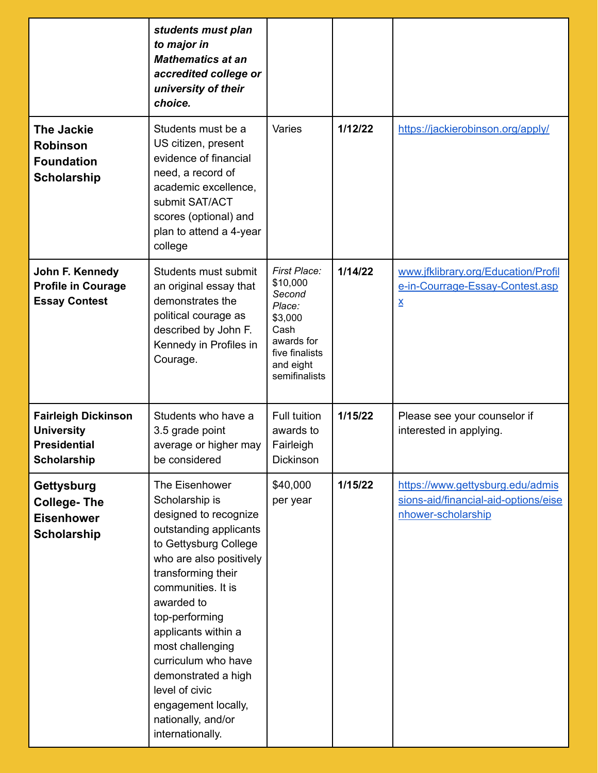|                                                                                              | students must plan<br>to major in<br><b>Mathematics at an</b><br>accredited college or<br>university of their<br>choice.                                                                                                                                                                                                                                                                        |                                                                                                                               |         |                                                                                                |
|----------------------------------------------------------------------------------------------|-------------------------------------------------------------------------------------------------------------------------------------------------------------------------------------------------------------------------------------------------------------------------------------------------------------------------------------------------------------------------------------------------|-------------------------------------------------------------------------------------------------------------------------------|---------|------------------------------------------------------------------------------------------------|
| <b>The Jackie</b><br><b>Robinson</b><br><b>Foundation</b><br><b>Scholarship</b>              | Students must be a<br>US citizen, present<br>evidence of financial<br>need, a record of<br>academic excellence,<br>submit SAT/ACT<br>scores (optional) and<br>plan to attend a 4-year<br>college                                                                                                                                                                                                | Varies                                                                                                                        | 1/12/22 | https://jackierobinson.org/apply/                                                              |
| John F. Kennedy<br><b>Profile in Courage</b><br><b>Essay Contest</b>                         | Students must submit<br>an original essay that<br>demonstrates the<br>political courage as<br>described by John F.<br>Kennedy in Profiles in<br>Courage.                                                                                                                                                                                                                                        | First Place:<br>\$10,000<br>Second<br>Place:<br>\$3,000<br>Cash<br>awards for<br>five finalists<br>and eight<br>semifinalists | 1/14/22 | www.jfklibrary.org/Education/Profil<br>e-in-Courrage-Essay-Contest.asp<br><u>x</u>             |
| <b>Fairleigh Dickinson</b><br><b>University</b><br><b>Presidential</b><br><b>Scholarship</b> | Students who have a<br>3.5 grade point<br>average or higher may<br>be considered                                                                                                                                                                                                                                                                                                                | Full tuition<br>awards to<br>Fairleigh<br>Dickinson                                                                           | 1/15/22 | Please see your counselor if<br>interested in applying.                                        |
| <b>Gettysburg</b><br><b>College-The</b><br><b>Eisenhower</b><br><b>Scholarship</b>           | The Eisenhower<br>Scholarship is<br>designed to recognize<br>outstanding applicants<br>to Gettysburg College<br>who are also positively<br>transforming their<br>communities. It is<br>awarded to<br>top-performing<br>applicants within a<br>most challenging<br>curriculum who have<br>demonstrated a high<br>level of civic<br>engagement locally,<br>nationally, and/or<br>internationally. | \$40,000<br>per year                                                                                                          | 1/15/22 | https://www.gettysburg.edu/admis<br>sions-aid/financial-aid-options/eise<br>nhower-scholarship |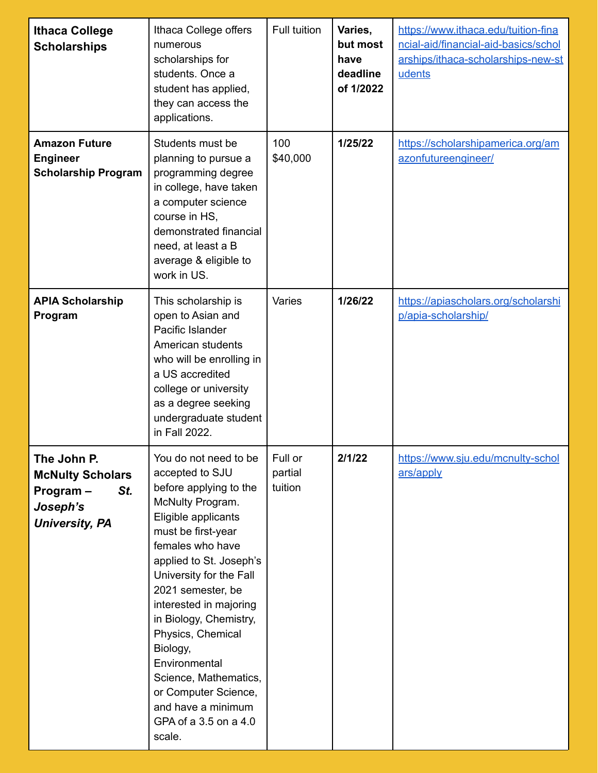| <b>Ithaca College</b><br><b>Scholarships</b>                                                   | Ithaca College offers<br>numerous<br>scholarships for<br>students. Once a<br>student has applied,<br>they can access the<br>applications.                                                                                                                                                                                                                                                                                                          | Full tuition                  | Varies,<br>but most<br>have<br>deadline<br>of 1/2022 | https://www.ithaca.edu/tuition-fina<br>ncial-aid/financial-aid-basics/schol<br>arships/ithaca-scholarships-new-st<br>udents |
|------------------------------------------------------------------------------------------------|----------------------------------------------------------------------------------------------------------------------------------------------------------------------------------------------------------------------------------------------------------------------------------------------------------------------------------------------------------------------------------------------------------------------------------------------------|-------------------------------|------------------------------------------------------|-----------------------------------------------------------------------------------------------------------------------------|
| <b>Amazon Future</b><br><b>Engineer</b><br><b>Scholarship Program</b>                          | Students must be<br>planning to pursue a<br>programming degree<br>in college, have taken<br>a computer science<br>course in HS,<br>demonstrated financial<br>need, at least a B<br>average & eligible to<br>work in US.                                                                                                                                                                                                                            | 100<br>\$40,000               | 1/25/22                                              | https://scholarshipamerica.org/am<br>azonfutureengineer/                                                                    |
| <b>APIA Scholarship</b><br>Program                                                             | This scholarship is<br>open to Asian and<br>Pacific Islander<br>American students<br>who will be enrolling in<br>a US accredited<br>college or university<br>as a degree seeking<br>undergraduate student<br>in Fall 2022.                                                                                                                                                                                                                         | Varies                        | 1/26/22                                              | https://apiascholars.org/scholarshi<br>p/apia-scholarship/                                                                  |
| The John P.<br><b>McNulty Scholars</b><br>St.<br>Program-<br>Joseph's<br><b>University, PA</b> | You do not need to be<br>accepted to SJU<br>before applying to the<br>McNulty Program.<br>Eligible applicants<br>must be first-year<br>females who have<br>applied to St. Joseph's<br>University for the Fall<br>2021 semester, be<br>interested in majoring<br>in Biology, Chemistry,<br>Physics, Chemical<br>Biology,<br>Environmental<br>Science, Mathematics,<br>or Computer Science,<br>and have a minimum<br>GPA of a 3.5 on a 4.0<br>scale. | Full or<br>partial<br>tuition | 2/1/22                                               | https://www.sju.edu/mcnulty-schol<br>ars/apply                                                                              |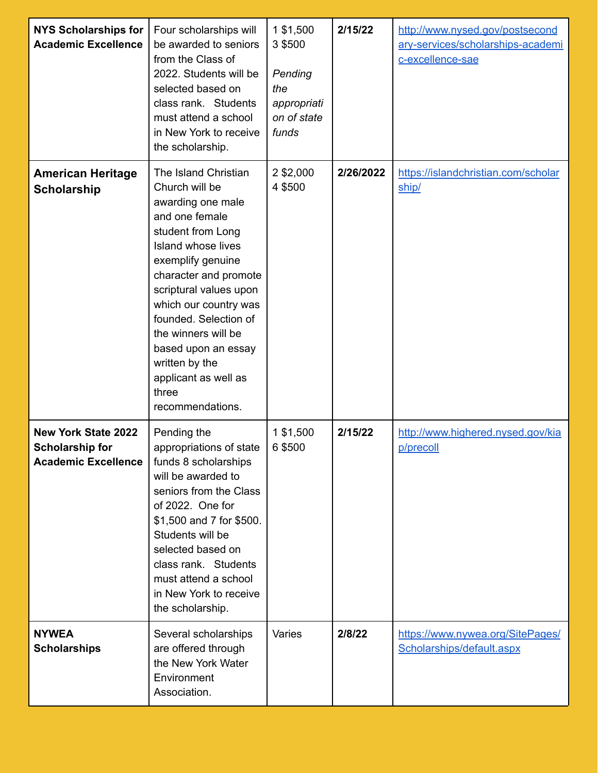| <b>NYS Scholarships for</b><br><b>Academic Excellence</b>                          | Four scholarships will<br>be awarded to seniors<br>from the Class of<br>2022. Students will be<br>selected based on<br>class rank. Students<br>must attend a school<br>in New York to receive<br>the scholarship.                                                                                                                                                       | 1 \$1,500<br>3 \$500<br>Pending<br>the<br>appropriati<br>on of state<br>funds | 2/15/22   | http://www.nysed.gov/postsecond<br>ary-services/scholarships-academi<br>c-excellence-sae |
|------------------------------------------------------------------------------------|-------------------------------------------------------------------------------------------------------------------------------------------------------------------------------------------------------------------------------------------------------------------------------------------------------------------------------------------------------------------------|-------------------------------------------------------------------------------|-----------|------------------------------------------------------------------------------------------|
| <b>American Heritage</b><br><b>Scholarship</b>                                     | The Island Christian<br>Church will be<br>awarding one male<br>and one female<br>student from Long<br>Island whose lives<br>exemplify genuine<br>character and promote<br>scriptural values upon<br>which our country was<br>founded. Selection of<br>the winners will be<br>based upon an essay<br>written by the<br>applicant as well as<br>three<br>recommendations. | 2 \$2,000<br>4 \$500                                                          | 2/26/2022 | https://islandchristian.com/scholar<br>ship/                                             |
| <b>New York State 2022</b><br><b>Scholarship for</b><br><b>Academic Excellence</b> | Pending the<br>appropriations of state<br>funds 8 scholarships<br>will be awarded to<br>seniors from the Class<br>of 2022. One for<br>\$1,500 and 7 for \$500.<br>Students will be<br>selected based on<br>class rank. Students<br>must attend a school<br>in New York to receive<br>the scholarship.                                                                   | 1 \$1,500<br>6 \$500                                                          | 2/15/22   | http://www.highered.nysed.gov/kia<br>p/precoll                                           |
| <b>NYWEA</b><br><b>Scholarships</b>                                                | Several scholarships<br>are offered through<br>the New York Water<br>Environment<br>Association.                                                                                                                                                                                                                                                                        | <b>Varies</b>                                                                 | 2/8/22    | https://www.nywea.org/SitePages/<br>Scholarships/default.aspx                            |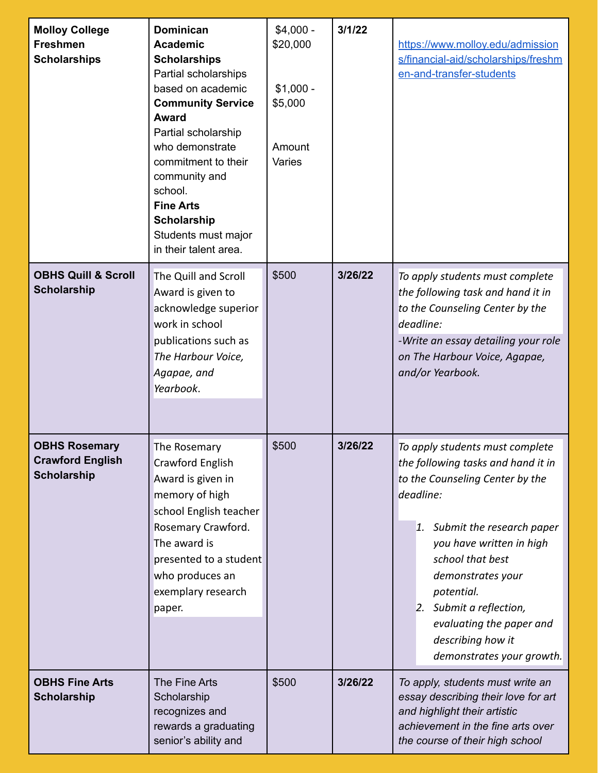| <b>Molloy College</b><br><b>Freshmen</b><br><b>Scholarships</b>       | <b>Dominican</b><br><b>Academic</b><br><b>Scholarships</b><br>Partial scholarships<br>based on academic<br><b>Community Service</b><br><b>Award</b><br>Partial scholarship<br>who demonstrate<br>commitment to their<br>community and<br>school.<br><b>Fine Arts</b><br><b>Scholarship</b><br>Students must major<br>in their talent area. | $$4,000 -$<br>\$20,000<br>$$1,000 -$<br>\$5,000<br>Amount<br>Varies | 3/1/22  | https://www.molloy.edu/admission<br>s/financial-aid/scholarships/freshm<br>en-and-transfer-students                                                                                                                                                                                                                                               |
|-----------------------------------------------------------------------|--------------------------------------------------------------------------------------------------------------------------------------------------------------------------------------------------------------------------------------------------------------------------------------------------------------------------------------------|---------------------------------------------------------------------|---------|---------------------------------------------------------------------------------------------------------------------------------------------------------------------------------------------------------------------------------------------------------------------------------------------------------------------------------------------------|
| <b>OBHS Quill &amp; Scroll</b><br><b>Scholarship</b>                  | The Quill and Scroll<br>Award is given to<br>acknowledge superior<br>work in school<br>publications such as<br>The Harbour Voice,<br>Agapae, and<br>Yearbook.                                                                                                                                                                              | \$500                                                               | 3/26/22 | To apply students must complete<br>the following task and hand it in<br>to the Counseling Center by the<br>deadline:<br>-Write an essay detailing your role<br>on The Harbour Voice, Agapae,<br>and/or Yearbook.                                                                                                                                  |
| <b>OBHS Rosemary</b><br><b>Crawford English</b><br><b>Scholarship</b> | The Rosemary<br>Crawford English<br>Award is given in<br>memory of high<br>school English teacher<br>Rosemary Crawford.<br>The award is<br>presented to a student<br>who produces an<br>exemplary research<br>paper.                                                                                                                       | \$500                                                               | 3/26/22 | To apply students must complete<br>the following tasks and hand it in<br>to the Counseling Center by the<br>deadline:<br>1. Submit the research paper<br>you have written in high<br>school that best<br>demonstrates your<br>potential.<br>2. Submit a reflection,<br>evaluating the paper and<br>describing how it<br>demonstrates your growth. |
| <b>OBHS Fine Arts</b><br><b>Scholarship</b>                           | The Fine Arts<br>Scholarship<br>recognizes and<br>rewards a graduating<br>senior's ability and                                                                                                                                                                                                                                             | \$500                                                               | 3/26/22 | To apply, students must write an<br>essay describing their love for art<br>and highlight their artistic<br>achievement in the fine arts over<br>the course of their high school                                                                                                                                                                   |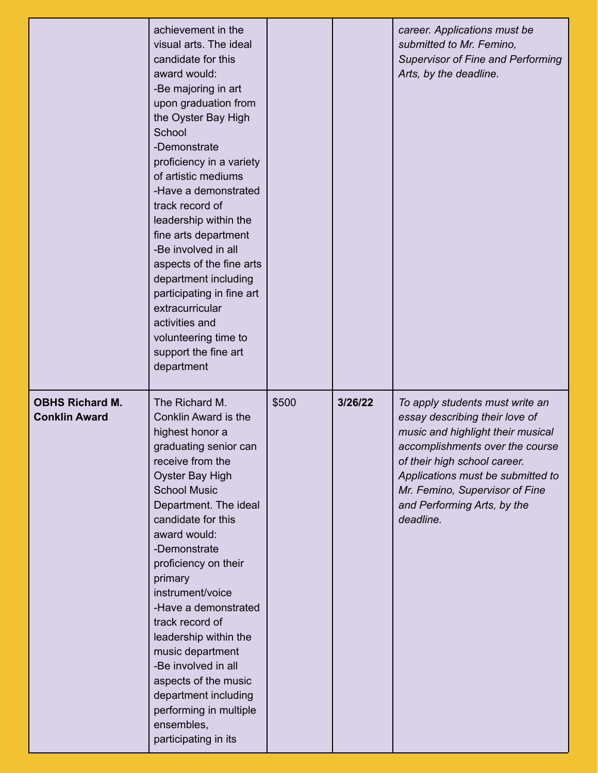|                                                | achievement in the<br>visual arts. The ideal<br>candidate for this<br>award would:<br>-Be majoring in art<br>upon graduation from<br>the Oyster Bay High<br>School<br>-Demonstrate<br>proficiency in a variety<br>of artistic mediums<br>-Have a demonstrated<br>track record of<br>leadership within the<br>fine arts department<br>-Be involved in all<br>aspects of the fine arts<br>department including<br>participating in fine art<br>extracurricular<br>activities and<br>volunteering time to<br>support the fine art<br>department |       |         | career. Applications must be<br>submitted to Mr. Femino,<br><b>Supervisor of Fine and Performing</b><br>Arts, by the deadline.                                                                                                                                                               |
|------------------------------------------------|----------------------------------------------------------------------------------------------------------------------------------------------------------------------------------------------------------------------------------------------------------------------------------------------------------------------------------------------------------------------------------------------------------------------------------------------------------------------------------------------------------------------------------------------|-------|---------|----------------------------------------------------------------------------------------------------------------------------------------------------------------------------------------------------------------------------------------------------------------------------------------------|
| <b>OBHS Richard M.</b><br><b>Conklin Award</b> | The Richard M.<br>Conklin Award is the<br>highest honor a<br>graduating senior can<br>receive from the<br>Oyster Bay High<br><b>School Music</b><br>Department. The ideal<br>candidate for this<br>award would:<br>-Demonstrate<br>proficiency on their<br>primary<br>instrument/voice<br>-Have a demonstrated<br>track record of<br>leadership within the<br>music department<br>-Be involved in all<br>aspects of the music<br>department including<br>performing in multiple<br>ensembles,<br>participating in its                        | \$500 | 3/26/22 | To apply students must write an<br>essay describing their love of<br>music and highlight their musical<br>accomplishments over the course<br>of their high school career.<br>Applications must be submitted to<br>Mr. Femino, Supervisor of Fine<br>and Performing Arts, by the<br>deadline. |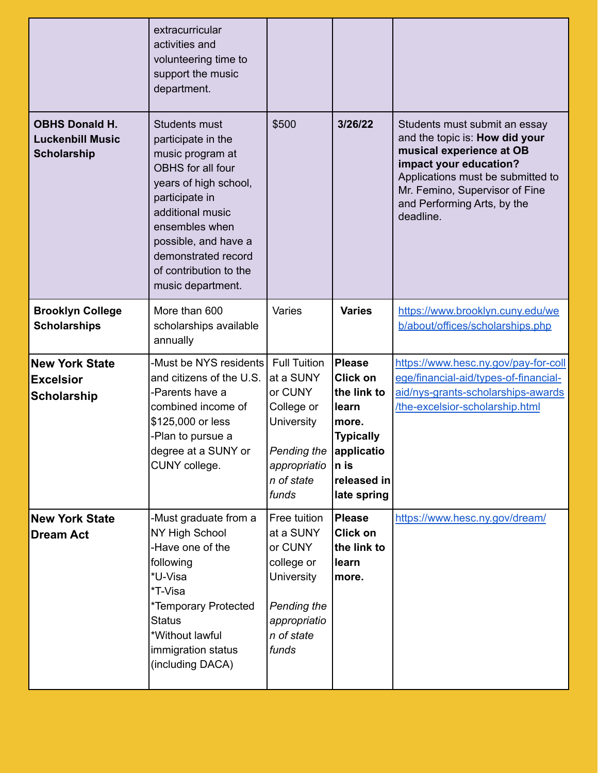|                                                                        | extracurricular<br>activities and<br>volunteering time to<br>support the music<br>department.                                                                                                                                                                      |                                                                                                                                      |                                                                                                                                           |                                                                                                                                                                                                                                          |
|------------------------------------------------------------------------|--------------------------------------------------------------------------------------------------------------------------------------------------------------------------------------------------------------------------------------------------------------------|--------------------------------------------------------------------------------------------------------------------------------------|-------------------------------------------------------------------------------------------------------------------------------------------|------------------------------------------------------------------------------------------------------------------------------------------------------------------------------------------------------------------------------------------|
| <b>OBHS Donald H.</b><br><b>Luckenbill Music</b><br><b>Scholarship</b> | <b>Students must</b><br>participate in the<br>music program at<br>OBHS for all four<br>years of high school,<br>participate in<br>additional music<br>ensembles when<br>possible, and have a<br>demonstrated record<br>of contribution to the<br>music department. | \$500                                                                                                                                | 3/26/22                                                                                                                                   | Students must submit an essay<br>and the topic is: How did your<br>musical experience at OB<br>impact your education?<br>Applications must be submitted to<br>Mr. Femino, Supervisor of Fine<br>and Performing Arts, by the<br>deadline. |
| <b>Brooklyn College</b><br><b>Scholarships</b>                         | More than 600<br>scholarships available<br>annually                                                                                                                                                                                                                | Varies                                                                                                                               | <b>Varies</b>                                                                                                                             | https://www.brooklyn.cuny.edu/we<br>b/about/offices/scholarships.php                                                                                                                                                                     |
| <b>New York State</b><br><b>Excelsior</b><br><b>Scholarship</b>        | -Must be NYS residents<br>and citizens of the U.S.<br>-Parents have a<br>combined income of<br>\$125,000 or less<br>-Plan to pursue a<br>degree at a SUNY or<br>CUNY college.                                                                                      | <b>Full Tuition</b><br>at a SUNY<br>or CUNY<br>College or<br><b>University</b><br>Pending the<br>appropriatio<br>n of state<br>funds | <b>Please</b><br><b>Click on</b><br>the link to<br>learn<br>more.<br><b>Typically</b><br>applicatio<br>n is<br>released in<br>late spring | https://www.hesc.ny.gov/pay-for-coll<br>ege/financial-aid/types-of-financial-<br>aid/nys-grants-scholarships-awards<br>/the-excelsior-scholarship.html                                                                                   |
| <b>New York State</b><br><b>Dream Act</b>                              | -Must graduate from a<br>NY High School<br>-Have one of the<br>following<br>*U-Visa<br>*T-Visa<br>*Temporary Protected<br><b>Status</b><br>*Without lawful<br>immigration status<br>(including DACA)                                                               | Free tuition<br>at a SUNY<br>or CUNY<br>college or<br><b>University</b><br>Pending the<br>appropriatio<br>n of state<br>funds        | <b>Please</b><br><b>Click on</b><br>the link to<br>learn<br>more.                                                                         | https://www.hesc.ny.gov/dream/                                                                                                                                                                                                           |